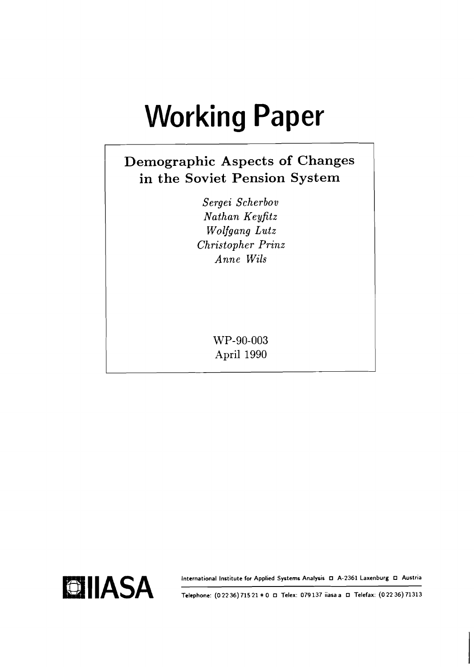# **Working Paper**

# **Demographic Aspects of Changes in the Soviet Pension System**

*Sergei Scherbov Nathan Keyfitz Wolfgang Lutz Christopher Prinz Anne Wils* 

> WP-90-003 April 1990

International Institute for Applied Systems Analysis **D** A-2361 Laxenburg **D** Austria



**Telephone: (0 22 36) 715 21** *t* **0 Telex: 079 137 iiasa a Telefax: (0 22 36) 71313**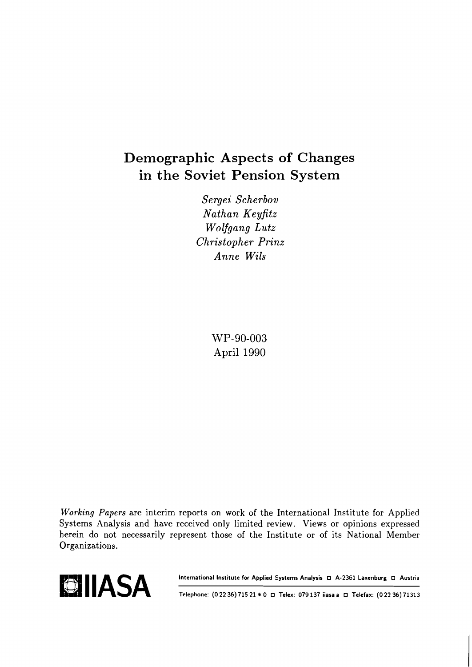# Demographic Aspects of Changes in the Soviet Pension System

*Sergei Scherbov Nathan Keyfitz Wolfgang Lutz Christopher Prinz Anne Wils* 

> WP-90-003 April 1990

**Working** *Papers* are interim reports on work of the International Institute for Applied Systems Analysis and have received only limited review. Views or opinions expressed herein do not necessarily represent those of the Institute or of its National Member Organizations.





**Telephone: (0 22 36) 715 21** *t* **0 Telex: 079 137 iiasa a Telefax: (0 22 36) 71313**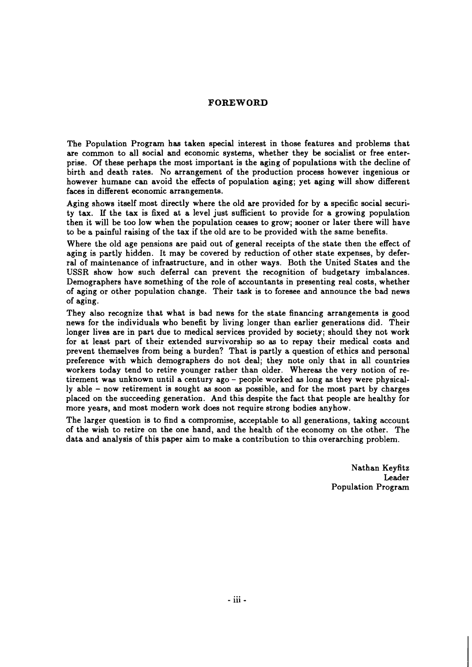#### **FOREWORD**

The Population Program has taken special interest in those features and problems that are common to all social and economic systems, whether they be socialist or free enterprise. Of these perhaps the most important is the aging of populations with the decline of birth and death rates. No arrangement of the production process however ingenious or however humane can avoid the effects of population aging; yet aging will show different faces in different economic arrangements.

Aging shows itself most directly where the old are provided for by a specific social security tax. If the tax is fixed at a level just sufficient to provide for a growing population then it will be too low when the population ceases to grow; sooner or later there will have to be a painful raising of the tax if the old are to be provided with the same benefits.

Where the old age pensions are paid out of general receipts of the state then the effect of aging is partly hidden. It may be covered by reduction of other state expenses, by deferral of maintenance of infrastructure, and in other ways. Both the United States and the USSR show how such deferral can prevent the recognition of budgetary imbalances. Demographers have something of the role of accountants in presenting real costs, whether of aging or other population change. Their task is to foresee and announce the bad news of aging.

They also recognize that what is bad news for the state financing arrangements is good news for the individuals who benefit by living longer than earlier generations did. Their longer lives are in part due to medical services provided by society; should they not work for at least part of their extended survivorship so as to repay their medical costs and prevent themselves from being a burden? That is partly a question of ethics and personal preference with which demographers do not deal; they note only that in all countries workers today tend to retire younger rather than older. Whereas the very notion of retirement was unknown until a century ago - people worked as long as they were physically able - now retirement is sought as soon as possible, and for the most part by charges placed on the succeeding generation. And this despite the fact that people are healthy for more years, and most modern work does not require strong bodies anyhow.

The larger question is to find a compromise, acceptable to all generations, taking account of the wish to retire on the one hand, and the health of the economy on the other. The data and analysis of this paper aim to make a contribution to this overarching problem.

> Nathan Keyfitz Leader Population Program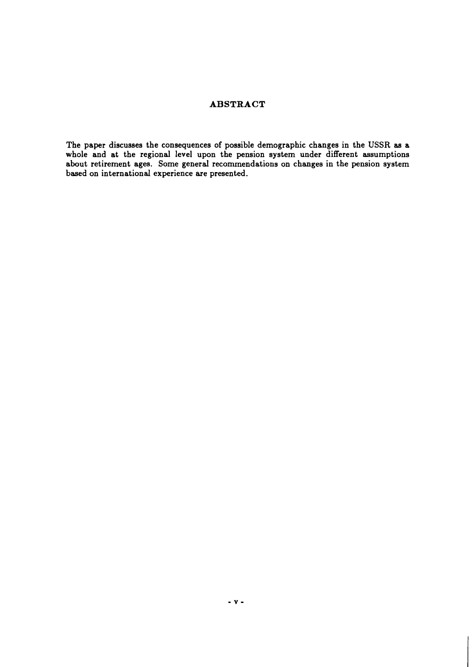# **ABSTRACT**

**The paper discusses the consequences of possible demographic changes in the USSR as a whole and at the regional level upon the pension system under different assumptions about retirement ages. Some general recommendations on changes in the pension system based on international experience are presented.**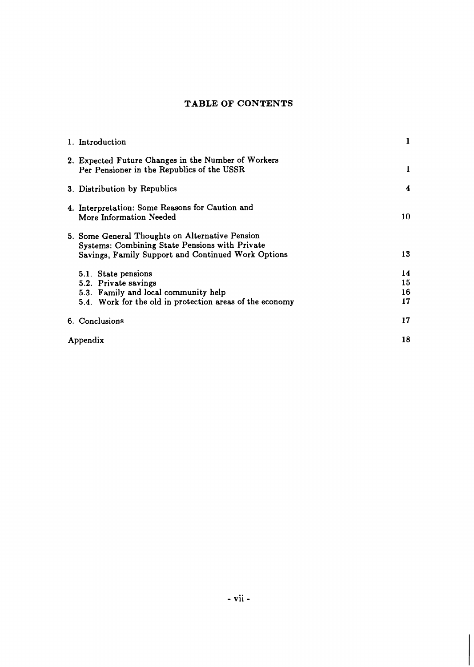# **TABLE OF CONTENTS**

| 1. Introduction                                                                                                                                         | 1                    |
|---------------------------------------------------------------------------------------------------------------------------------------------------------|----------------------|
| 2. Expected Future Changes in the Number of Workers<br>Per Pensioner in the Republics of the USSR                                                       | 1                    |
| 3. Distribution by Republics                                                                                                                            | 4                    |
| 4. Interpretation: Some Reasons for Caution and<br>More Information Needed                                                                              | 10                   |
| 5. Some General Thoughts on Alternative Pension<br>Systems: Combining State Pensions with Private<br>Savings, Family Support and Continued Work Options | 13                   |
| 5.1. State pensions<br>5.2. Private savings<br>5.3. Family and local community help<br>5.4. Work for the old in protection areas of the economy         | 14<br>15<br>16<br>17 |
| 6. Conclusions                                                                                                                                          | 17                   |
| Appendix                                                                                                                                                | 18                   |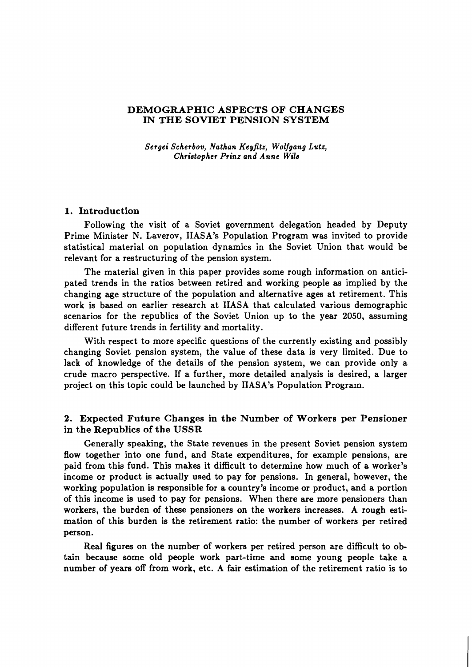#### **DEMOGRAPHIC ASPECTS OF CHANGES IN THE SOVIET PENSION SYSTEM**

*Sergei Scherbov, Nathan Keyjitz, Wolfgang Lutz, Christopher Prinz and Anne Wils* 

#### **1. Introduction**

Following the visit of a Soviet government delegation headed by Deputy Prime Minister N. Laverov, IIASA's Population Program was invited to provide statistical material on population dynamics in the Soviet Union that would be relevant for a restructuring of the pension system.

The material given in this paper provides some rough information on anticipated trends in the ratios between retired and working people as implied by the changing age structure of the population and alternative ages at retirement. This work is based on earlier research at IIASA that calculated various demographic scenarios for the republics of the Soviet Union up to the year 2050, assuming different future trends in fertility and mortality.

With respect to more specific questions of the currently existing and possibly changing Soviet pension system, the value of these data is very limited. Due to lack of knowledge of the details of the pension system, we can provide only a crude macro perspective. If a further, more detailed analysis is desired, a larger project on this topic could be launched by IIASA's Population Program.

#### **2. Expected Future Changes in the Number of Workers per Pensioner in the Republics of the USSR**

Generally speaking, the State revenues in the present Soviet pension system flow together into one fund, and State expenditures, for example pensions, are paid from this fund. This makes it difficult to determine how much of a worker's income or product is actually used to pay for pensions. In general, however, the working population is responsible for a country's income or product, and a portion of this income is used to pay for pensions. When there are more pensioners than workers, the burden of these pensioners on the workers increases. A rough estimation of this burden is the retirement ratio: the number of workers per retired person.

Real figures on the number of workers per retired person are difficult to obtain because some old people work part-time and some young people take a number of years off from work, etc. A fair estimation of the retirement ratio is to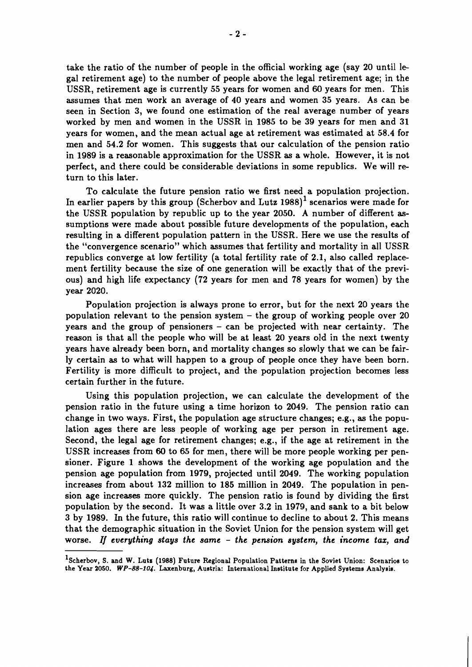take the ratio of the number of people in the official working age (say 20 until legal retirement age) to the number of people above the legal retirement age; in the USSR, retirement age is currently 55 years for women and 60 years for men. This assumes that men work an average of 40 years and women 35 years. As can be seen in Section 3, we found one estimation of the real average number of years worked by men and women in the USSR in 1985 to be 39 years for men and 31 years for women, and the mean actual age at retirement was estimated at 58.4 for men and 54.2 for women. This suggests that our calculation of the pension ratio in 1989 is a reasonable approximation for the USSR as a whole. However, it is not perfect, and there could be considerable deviations in some republics. We will return to this later.

To calculate the future pension ratio we first need a population projection. In earlier papers by this group (Scherbov and Lutz  $1988$ )<sup>1</sup> scenarios were made for the USSR population by republic up to the year 2050. A number of different assumptions were made about possible future developments of the population, each resulting in a different population pattern in the USSR. Here we use the results of the "convergence scenario" which assumes that fertility and mortality in all USSR republics converge at low fertility (a total fertility rate of 2.1, also called replacement fertility because the size of one generation will be exactly that of the previous) and high life expectancy (72 years for men and 78 years for women) by the year 2020.

Population projection is always prone to error, but for the next 20 years the population relevant to the pension system  $-$  the group of working people over 20 years and the group of pensioners - can be projected with near certainty. The reason is that all the people who will be at least 20 years old in the next twenty years have already been born, and mortality changes so slowly that we can be fairly certain as to what will happen to a group of people once they have been born. Fertility is more difficult to project, and the population projection becomes less certain further in the future.

Using this population projection, we can calculate the development of the pension ratio in the future using a time horizon to 2049. The pension ratio can change in two ways. First, the population age structure changes; e.g., as the population ages there are less people of working age per person in retirement age. Second, the legal age for retirement changes; e.g., if the age at retirement in the USSR increases from 60 to 65 for men, there will be more people working per pensioner. Figure 1 shows the development of the working age population and the pension age population from 1979, projected until 2049. The working population increases from about 132 million to 185 million in 2049. The population in pension age increases more quickly. The pension ratio is found by dividing the first population by the second. It was a little over 3.2 in 1979, and sank to a bit below 3 by 1989. In the future, this ratio will continue to decline to about 2. This means that the demographic situation in the Soviet Union for the pension system will get worse. If *everything stays the same* - *the pension system, the income taz, and* 

<sup>&</sup>lt;sup>1</sup>Scherbov, S. and W. Lutz (1988) Future Regional Population Patterns in the Soviet Union: Scenarios to the Year 2050. WP-88-104. Laxenburg, Austria: International Institute for Applied Systems Analysis.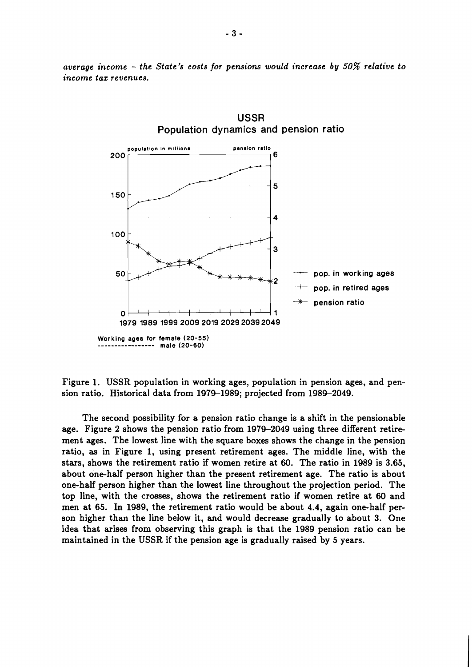

*average income* - *the State's costs for pensions would increase by 50% relative to income taz revenues.* 

Figure 1. USSR population in working ages, population in pension ages, and pension ratio. Historical data from 1979-1989; projected from 1989-2049.

The second possibility for a pension ratio change is a shift in the pensionable age. Figure 2 shows the pension ratio from 1979-2049 using three different retirement ages. The lowest line with the square boxes shows the change in the pension ratio, **as** in Figure 1, using present retirement ages. The middle line, with the stars, shows the retirement ratio if women retire at 60. The ratio in 1989 is 3.65, about one-half person higher than the present retirement age. The ratio is about one-half person higher than the lowest line throughout the projection period. The top line, with the crosses, shows the retirement ratio if women retire at 60 and men at 65. In 1989, the retirement ratio would be about 4.4, again one-half person higher than the line below it, and would decrease gradually to about 3. One idea that arises from observing this graph is that the 1989 pension ratio can be maintained in the USSR if the pension age is gradually raised by 5 years.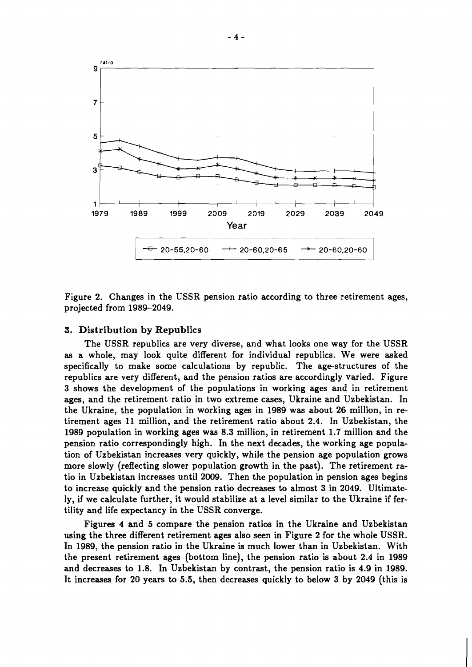

Figure **2.** Changes in the USSR pension ratio according to three retirement ages, projected from **1989-2049.** 

#### **3. Distribution by Republics**

The USSR republics are very diverse, and what looks one way for the USSR as a whole, may look quite different for individual republics. We were asked specifically to make some calculations by republic. The age-structures of the republics are very different, and the pension ratios are accordingly varied. Figure **3** shows the development of the populations in working ages and in retirement ages, and the retirement ratio in two extreme cases, Ukraine and Uzbekistan. In the Ukraine, the population in working ages in **1989** was about **26** million, in retirement ages **11** million, and the retirement ratio about **2.4.** In Uzbekistan, the **1989** population in working ages was **8.3** million, in retirement **1.7** million and the pension ratio correspondingly high. In the next decades, the working age population of Uzbekistan increases very quickly, while the pension age population grows more slowly (reflecting slower population growth in the past). The retirement ratio in Uzbekistan increases until **2009.** Then the population in pension ages begins to increase quickly and the pension ratio decreases to almost **3** in **2049.** Ultimately, if we calculate further, it would stabilize at a level similar to the Ukraine if fertility and life expectancy in the USSR converge.

Figures **4** and 5 compare the pension ratios in the Ukraine and Uzbekistan using the three different retirement ages also seen in Figure **2** for the whole USSR. In **1989,** the pension ratio in the Ukraine is much lower than in Uzbekistan. With the present retirement ages (bottom line), the pension ratio is about **2.4** in **1989**  and decreases to **1.8.** In Uzbekistan by contrast, the pension ratio is **4.9** in **1989.**  It increases for **20** years to 5.5, then decreases quickly to below **3** by **2049** (this is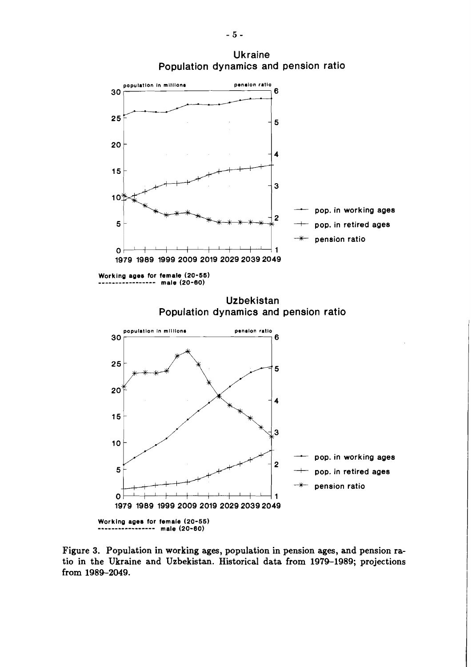

**Figure 3. Population in working ages, population in pension ages, and pension ratio in the Ukraine and Uzbekistan. Historical data from 1979-1989; projections from 1989-2049.**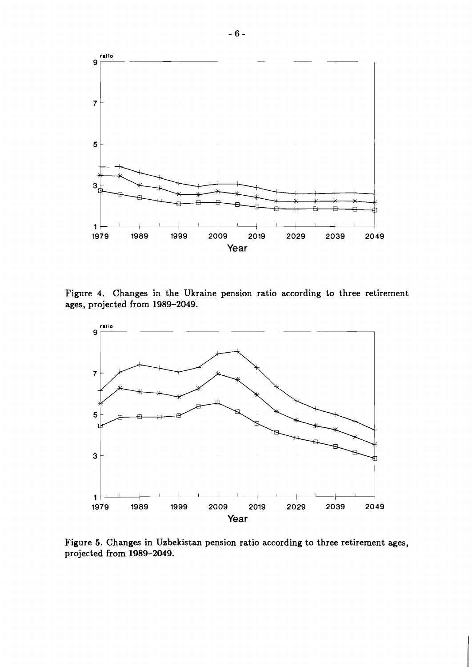

**Figure 4. Changes in the Ukraine pension ratio according to three retirement ages, projected from 1989-2049.** 



**Figure 5. Changes in Uzbekistan pension ratio according to three retirement ages, projected from 1989-2049.**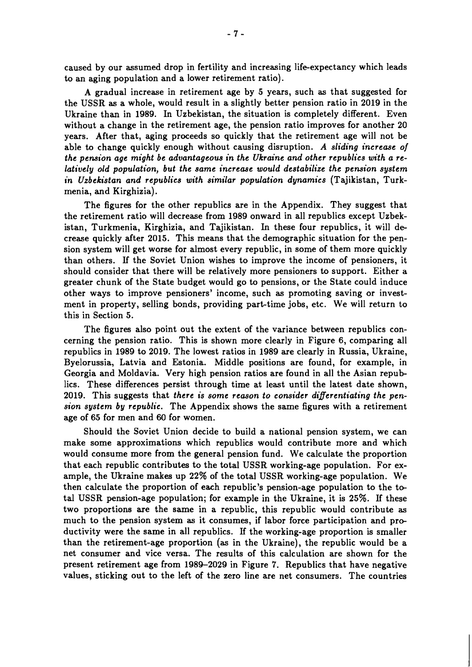caused by our assumed drop in fertility and increasing life-expectancy which leads to an aging population and a lower retirement ratio).

A gradual increase in retirement age by 5 years, such as that suggested for the USSR as a whole, would result in a slightly better pension ratio in **2019** in the Ukraine than in **1989.** In Uzbekistan, the situation is completely different. Even without a change in the retirement age, the pension ratio improves for another **20**  years. After that, aging proceeds so quickly that the retirement age will not be able to change quickly enough without causing disruption. A *sliding increase of the pension age might be advantageous in the Ukraine and other republics with a relatively old population, but the same increase would destabilize the pension system in Uzbekistan and republics with similar population dynamics* (Tajikistan, Turkmenia, and Kirghizia).

The figures for the other republics are in the Appendix. They suggest that the retirement ratio will decrease from **1989** onward in all republics except Uzbekistan, Turkmenia, Kirghizia, and Tajikistan. In these four republics, it will decrease quickly after **2015.** This means that the demographic situation for the pension system will get worse for almost every republic, in some of them more quickly than others. If the Soviet Union wishes to improve the income of pensioners, it should consider that there will be relatively more pensioners to support. Either a greater chunk of the State budget would go to pensions, or the State could induce other ways to improve pensioners' income, such as promoting saving or investment in property, selling bonds, providing part-time jobs, etc. We will return to this in Section **5.** 

The figures also point out the extent of the variance between republics concerning the pension ratio. This is shown more clearly in Figure 6, comparing all republics in **1989** to **2019.** The lowest ratios in **1989** are clearly in Russia, Ukraine, Byelorussia, Latvia and Estonia. Middle positions are found, for example, in Georgia and Moldavia. Very high pension ratios are found in all the Asian republics. These differences persist through time at least until the latest date shown, **2019.** This suggests that *there is some reason to consider diflerentiating the pension system by republic.* The Appendix shows the same figures with a retirement age of **65** for men and **60** for women.

Should the Soviet Union decide to build a national pension system, we can make some approximations which republics would contribute more and which would consume more from the general pension fund. We calculate the proportion that each republic contributes to the total USSR working-age population. For example, the Ukraine makes up **22%** of the total USSR working-age population. We then calculate the proportion of each republic's pension-age population to the total USSR pension-age population; for example in the Ukraine, it is **25%.** If these two proportions are the same in a republic, this republic would contribute as much to the pension system as it consumes, if labor force participation and productivity were the same in all republics. If the working-age proportion is smaller than the retirement-age proportion (as in the Ukraine), the republic would be a net consumer and vice versa. The results of this calculation are shown for the present retirement age from **1989-2029** in Figure **7.** Republics that have negative values, sticking out to the left of the zero line are net consumers. The countries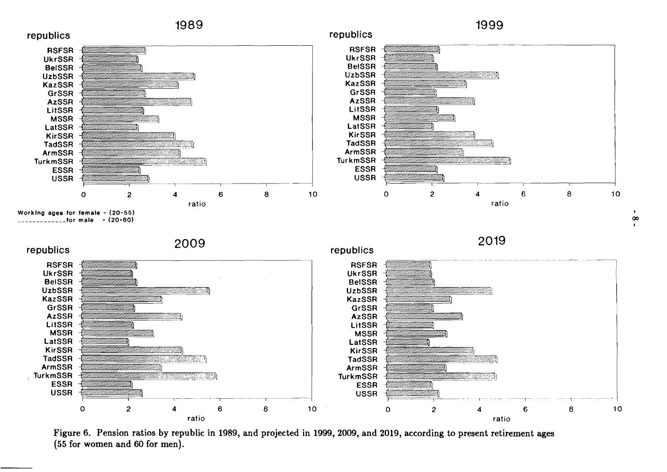

**Figure 6. Pension ratios by republic in 1989, and projected in 1999, 2009, and 2019, according to present retirement ages (55 for women and 60 for men).** 

 $\infty$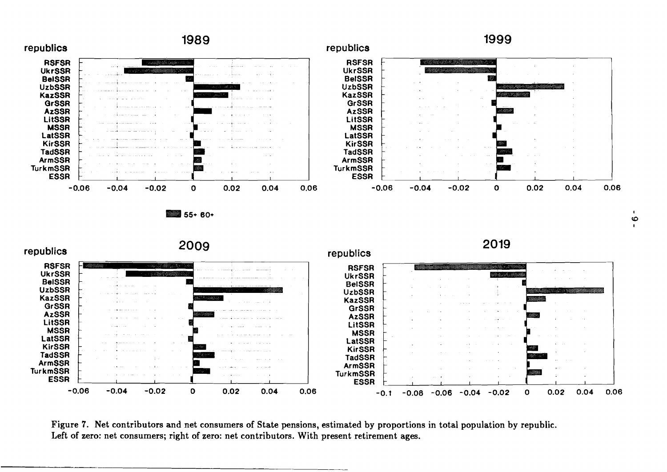

**Figure 7. Net contributors and net consumers of State pensions, estimated by proportions in total population by republic.**  Left of zero: net consumers; right of zero: net contributors. With present retirement ages.

 $\blacksquare$  $\ddot{\circ}$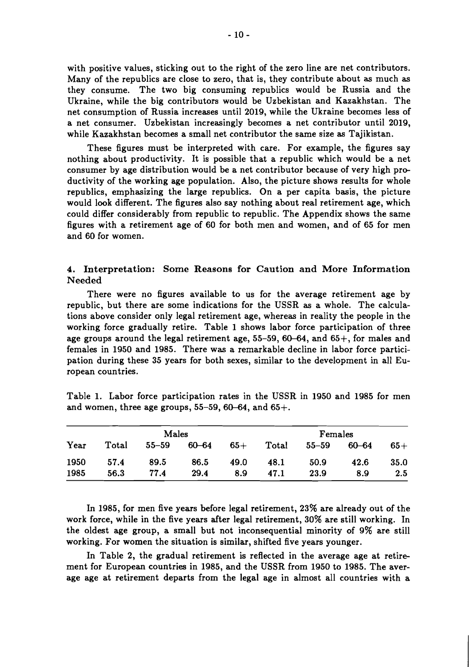with positive values, sticking out to the right of the zero line are net contributors. Many of the republics are close to zero, that is, they contribute about as much as they consume. The two big consuming republics would be Russia and the Ukraine, while the big contributors would be Uzbekistan and Kazakhstan. The net consumption of Russia increases until 2019, while the Ukraine becomes less of a net consumer. Uzbekistan increasingly becomes a net contributor until 2019, while Kazakhstan becomes a small net contributor the same size as Tajikistan.

These figures must be interpreted with care. For example, the figures say nothing about productivity. It is possible that a republic which would be a net consumer by age distribution would be a net contributor because of very high productivity of the working age population. Also, the picture shows results for whole republics, emphasizing the large republics. On a per capita basis, the picture would look different. The figures also say nothing about real retirement age, which could differ considerably from republic to republic. The Appendix shows the same figures with a retirement age of 60 for both men and women, and of 65 for men and 60 for women.

4. **Interpretation: Some Reasons for Caution and More Information Needed** 

There were no figures available to us for the average retirement age by republic, but there are some indications for the USSR as a whole. The calculations above consider only legal retirement age, whereas in reality the people in the working force gradually retire. Table 1 shows labor force participation of three age groups around the legal retirement age,  $55-59$ ,  $60-64$ , and  $65+$ , for males and females in 1950 and 1985. There was a remarkable decline in labor force participation during these 35 years for both sexes, similar to the development in all European countries.

|      | Males |           |       |       | Females |       |       |       |
|------|-------|-----------|-------|-------|---------|-------|-------|-------|
| Year | Total | $55 - 59$ | 60–64 | $65+$ | Total   | 55–59 | 60–64 | $65+$ |
| 1950 | 57.4  | 89.5      | 86.5  | 49.0  | 48.1    | 50.9  | 42.6  | 35.0  |
| 1985 | 56.3  | 77.4      | 29.4  | 8.9   | 47.1    | 23.9  | 8.9   | 2.5   |

Table 1. Labor force participation rates in the USSR in 1950 and 1985 for men and women, three age groups,  $55-59$ ,  $60-64$ , and  $65+$ .

In 1985, for men five years before legal retirement, 23% are already out of the work force, while in the five years after legal retirement, 30% are still working. In the oldest age group, a small but not inconsequential minority of 9% are still working. For women the situation is similar, shifted five years younger.

In Table 2, the gradual retirement is reflected in the average age at retirement for European countries in 1985, and the USSR from 1950 to 1985. The average age at retirement departs from the legal age in almost all countries with a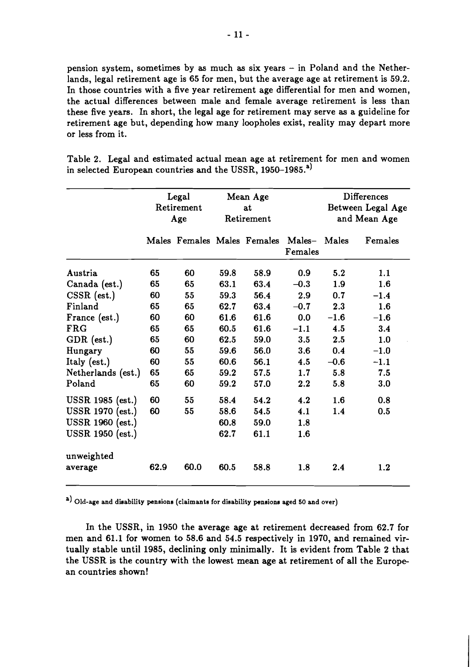pension system, sometimes by **as** much **as** six years - in Poland and the Netherlands, legal retirement age is **65** for men, but the average age at retirement is **59.2.**  In those countries with a five year retirement age differential for men and women, the actual differences between male and female average retirement is less than these five years. In short, the legal age for retirement may serve **as** a guideline for retirement age but, depending how many loopholes exist, reality may depart more or less from it.

Table **2.** Legal and estimated actual mean age at retirement for men and women in selected European countries and the USSR, **1950-1985.')** 

|                       | Legal<br>Retirement<br>Age |      | Mean Age<br>at<br>Retirement |      |                                                     | <b>Differences</b><br>Between Legal Age<br>and Mean Age |         |
|-----------------------|----------------------------|------|------------------------------|------|-----------------------------------------------------|---------------------------------------------------------|---------|
|                       |                            |      |                              |      | Males Females Males Females Males- Males<br>Females |                                                         | Females |
| Austria               | 65                         | 60   | 59.8                         | 58.9 | 0.9                                                 | 5.2                                                     | 1.1     |
| Canada (est.)         | 65                         | 65   | 63.1                         | 63.4 | $-0.3$                                              | 1.9                                                     | 1.6     |
| $CSSR$ (est.)         | 60                         | 55   | 59.3                         | 56.4 | 2.9                                                 | 0.7                                                     | $-1.4$  |
| Finland               | 65                         | 65   | 62.7                         | 63.4 | $-0.7$                                              | 2.3                                                     | 1.6     |
| France (est.)         | 60                         | 60   | 61.6                         | 61.6 | 0.0                                                 | $-1.6$                                                  | $-1.6$  |
| <b>FRG</b>            | 65                         | 65   | 60.5                         | 61.6 | $-1.1$                                              | 4.5                                                     | 3.4     |
| GDR (est.)            | 65                         | 60   | 62.5                         | 59.0 | 3.5                                                 | 2.5                                                     | 1.0     |
| Hungary               | 60                         | 55   | 59.6                         | 56.0 | 3.6                                                 | 0.4                                                     | $-1.0$  |
| Italy (est.)          | 60                         | 55   | 60.6                         | 56.1 | 4.5                                                 | $-0.6$                                                  | $-1.1$  |
| Netherlands (est.)    | 65                         | 65   | 59.2                         | 57.5 | 1.7                                                 | 5.8                                                     | 7.5     |
| Poland                | 65                         | 60   | 59.2                         | 57.0 | 2.2                                                 | 5.8                                                     | 3.0     |
| USSR 1985 (est.)      | 60                         | 55   | 58.4                         | 54.2 | 4.2                                                 | 1.6                                                     | 0.8     |
| USSR 1970 (est.)      | 60                         | 55   | 58.6                         | 54.5 | 4.1                                                 | 1.4                                                     | 0.5     |
| USSR 1960 (est.)      |                            |      | 60.8                         | 59.0 | 1.8                                                 |                                                         |         |
| USSR 1950 (est.)      |                            |      | 62.7                         | 61.1 | 1.6                                                 |                                                         |         |
| unweighted<br>average | 62.9                       | 60.0 | 60.5                         | 58.8 | 1.8                                                 | 2.4                                                     | 1.2     |

a) Old-age and disability pensions (claimants for disability pensions aged 50 and over)

In the USSR, in **1950** the average age at retirement decreased from **62.7** for men and **61.1** for women to **58.6** and **54.5** respectively in **1970,** and remained virtually stable until **1985,** declining only minimally. It is evident from Table **2** that the USSR is the country with the lowest mean age at retirement of all the European countries shown!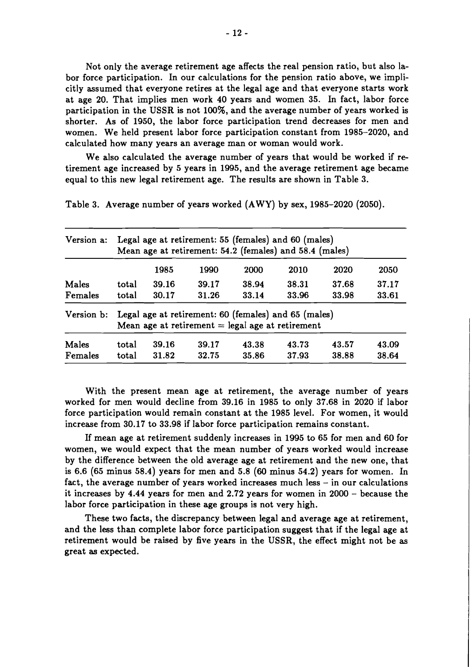Not only the average retirement age affects the real pension ratio, but also labor force participation. In our calculations for the pension ratio above, we implicitly assumed that everyone retires at the legal age and that everyone starts work at age 20. That implies men work 40 years and women 35. In fact, labor force participation in the USSR is not 100%, and the average number of years worked is shorter. As of 1950, the labor force participation trend decreases for men and women. We held present labor force participation constant from 1985-2020, and calculated how many years an average man or woman would work.

We also calculated the average number of years that would be worked if retirement age increased by 5 years in 1995, and the average retirement age became equal to this new legal retirement age. The results are shown in Table 3.

| Version a: | Legal age at retirement: 55 (females) and 60 (males)<br>Mean age at retirement: 54.2 (females) and 58.4 (males) |       |       |       |       |       |       |  |  |  |
|------------|-----------------------------------------------------------------------------------------------------------------|-------|-------|-------|-------|-------|-------|--|--|--|
|            |                                                                                                                 | 1985  | 1990  | 2000  | 2010  | 2020  | 2050  |  |  |  |
| Males      | total                                                                                                           | 39.16 | 39.17 | 38.94 | 38.31 | 37.68 | 37.17 |  |  |  |
| Females    | total                                                                                                           | 30.17 | 31.26 | 33.14 | 33.96 | 33.98 | 33.61 |  |  |  |
| Version b: | Legal age at retirement: 60 (females) and 65 (males)<br>Mean age at retirement $=$ legal age at retirement      |       |       |       |       |       |       |  |  |  |
| Males      | total                                                                                                           | 39.16 | 39.17 | 43.38 | 43.73 | 43.57 | 43.09 |  |  |  |
| Females    | total                                                                                                           | 31.82 | 32.75 | 35.86 | 37.93 | 38.88 | 38.64 |  |  |  |

Table 3. Average number of years worked (AWY) by sex, 1985-2020 (2050).

With the present mean age at retirement, the average number of years worked for men would decline from 39.16 in 1985 to only 37.68 in 2020 if labor force participation would remain constant at the 1985 level. For women, it would increase from 30.17 to 33.98 if labor force participation remains constant.

If mean age at retirement suddenly increases in 1995 to 65 for men and 60 for women, we would expect that the mean number of years worked would increase by the difference between the old average age at retirement and the new one, that is 6.6 (65 minus 58.4) years for men and 5.8 (60 minus 54.2) years for women. In fact, the average number of years worked increases much less – in our calculations it increases by 4.44 years for men and 2.72 years for women in 2000 - because the labor force participation in these age groups is not very high.

These two facts, the discrepancy between legal and average age at retirement, and the less than complete labor force participation suggest that if the legal age at retirement would be raised by five years in the USSR, the effect might not be as great as expected.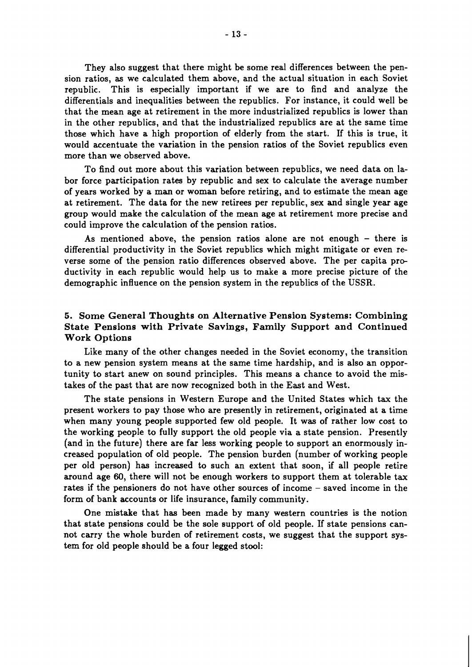They also suggest that there might be some real differences between the pension ratios, as we calculated them above, and the actual situation in each Soviet republic. This is especially important if we are to find and analyze the differentials and inequalities between the republics. For instance, it could well be that the mean age at retirement in the more industrialized republics is lower than in the other republics, and that the industrialized republics are at the same time those which have a high proportion of elderly from the start. If this is true, it would accentuate the variation in the pension ratios of the Soviet republics even more than we observed above.

To find out more about this variation between republics, we need data on labor force participation rates by republic and sex to calculate the average number of years worked by a man or woman before retiring, and to estimate the mean age at retirement. The data for the new retirees per republic, sex and single year age group would make the calculation of the mean age at retirement more precise and could improve the calculation of the pension ratios.

As mentioned above, the pension ratios alone are not enough - there is differential productivity in the Soviet republics which might mitigate or even reverse some of the pension ratio differences observed above. The per capita productivity in each republic would help us to make a more precise picture of the demographic influence on the pension system in the republics of the USSR.

### **5. Some General Thoughts on Alternative Pension Systems: Combining State Pensions with Private Savings, Family Support and Continued Work Options**

Like many of the other changes needed in the Soviet economy, the transition to a new pension system means at the same time hardship, and is also an opportunity to start anew on sound principles. This means a chance to avoid the mistakes of the past that are now recognized both in the East and West.

The state pensions in Western Europe and the United States which tax the present workers to pay those who are presently in retirement, originated at a time when many young people supported few old people. It was of rather low cost to the working people to fully support the old people via a state pension. Presently (and in the future) there are far less working people to support an enormously increased population of old people. The pension burden (number of working people per old person) has increased to such an extent that soon, if all people retire around age 60, there will not be enough workers to support them at tolerable tax rates if the pensioners do not have other sources of income - saved income in the form of bank accounts or life insurance, family community.

One mistake that has been made by many western countries is the notion that state pensions could be the sole support of old people. If state pensions cannot carry the whole burden of retirement costs, we suggest that the support system for old people should be a four legged stool: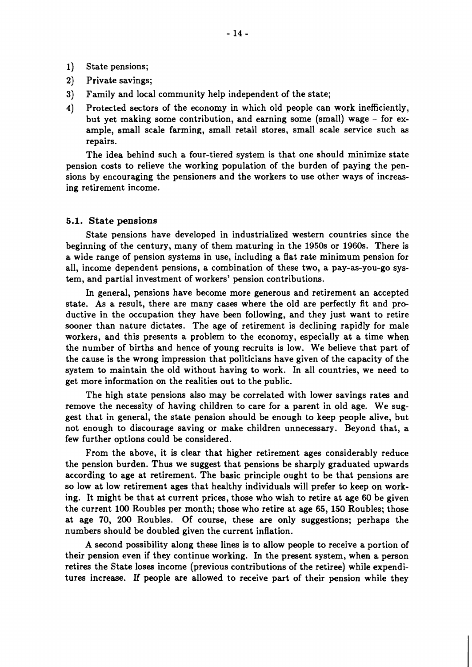- 1) State pensions;
- **2)** Private savings;
- **3)** Family and local community help independent of the state;
- **4)** Protected sectors of the economy in which old people can work inefficiently, but yet making some contribution, and earning some (small) wage - for example, small scale farming, small retail stores, small scale service such as repairs.

The idea behind such a four-tiered system is that one should minimize state pension costs to relieve the working population of the burden of paying the pensions by encouraging the pensioners and the workers to use other ways of increasing retirement income.

#### **5.1. State pensions**

State pensions have developed in industrialized western countries since the beginning of the century, many of them maturing in the 1950s or 1960s. There is a wide range of pension systems in use, including a flat rate minimum pension for all, income dependent pensions, a combination of these two, a pay-as-you-go system, and partial investment of workers' pension contributions.

In general, pensions have become more generous and retirement an accepted state. As a result, there are many cases where the old are perfectly fit and productive in the occupation they have been following, and they just want to retire sooner than nature dictates. The age of retirement is declining rapidly for male workers, and this presents a problem to the economy, especially at a time when the number of births and hence of young recruits is low. We believe that part of the cause is the wrong impression that politicians have given of the capacity of the system to maintain the old without having to work. In all countries, we need to get more information on the realities out to the public.

The high state pensions also may be correlated with lower savings rates and remove the necessity of having children to care for a parent in old age. We suggest that in general, the state pension should be enough to keep people alive, but not enough to discourage saving or make children unnecessary. Beyond that, a few further options could be considered.

From the above, it is clear that higher retirement ages considerably reduce the pension burden. Thus we suggest that pensions be sharply graduated upwards according to age at retirement. The basic principle ought to be that pensions are so low at low retirement ages that healthy individuals will prefer to keep on working. It might be that at current prices, those who wish to retire at age 60 be given the current 100 Roubles per month; those who retire at age 65, 150 Roubles; those at age 70, **200** Roubles. Of course, these are only suggestions; perhaps the numbers should be doubled given the current inflation.

A second possibility along these lines is to allow people to receive a portion of their pension even if they continue working. In the present system, when a person retires the State loses income (previous contributions of the retiree) while expenditures increase. If people are allowed to receive part of their pension while they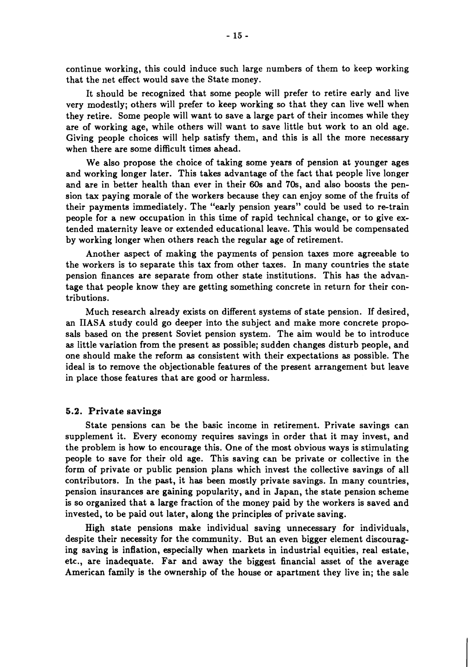continue working, this could induce such large numbers of them to keep working that the net effect would save the State money.

It should be recognized that some people will prefer to retire early and live very modestly; others will prefer to keep working so that they can live well when they retire. Some people will want to save a large part of their incomes while they are of working age, while others will want to save little but work to an old age. Giving people choices will help satisfy them, and this is all the more necessary when there are some difficult times ahead.

We also propose the choice of taking some years of pension at younger ages and working longer later. This takes advantage of the fact that people live longer and are in better health than ever in their 60s and 70s, and also boosts the pension tax paying morale of the workers because they can enjoy some of the fruits of their payments immediately. The "early pension years" could be used to re-train people for a new occupation in this time of rapid technical change, or to give extended maternity leave or extended educational leave. This would be compensated by working longer when others reach the regular age of retirement.

Another aspect of making the payments of pension taxes more agreeable to the workers is to separate this tax from other taxes. In many countries the state pension finances are separate from other state institutions. This has the advantage that people know they are getting something concrete in return for their contributions.

Much research already exists on different systems of state pension. If desired, an IIASA study could go deeper into the subject and make more concrete proposals based on the present Soviet pension system. The aim would be to introduce as little variation from the present as possible; sudden changes disturb people, and one should make the reform as consistent with their expectations as possible. The ideal is to remove the objectionable features of the present arrangement but leave in place those features that are good or harmless.

#### **5.2. Private savings**

State pensions can be the basic income in retirement. Private savings can supplement it. Every economy requires savings in order that it may invest, and the problem is how to encourage this. One of the most obvious ways is stimulating people to save for their old age. This saving can be private or collective in the form of private or public pension plans which invest the collective savings of all contributors. In the past, it has been mostly private savings. In many countries, pension insurances are gaining popularity, and in Japan, the state pension scheme is so organized that a large fraction of the money paid by the workers is saved and invested, to be paid out later, along the principles of private saving.

High state pensions make individual saving unnecessary for individuals, despite their necessity for the community. But an even bigger element discouraging saving is inflation, especially when markets in industrial equities, real estate, etc., are inadequate. Far and away the biggest financial asset of the average American family is the ownership of the house or apartment they live in; the sale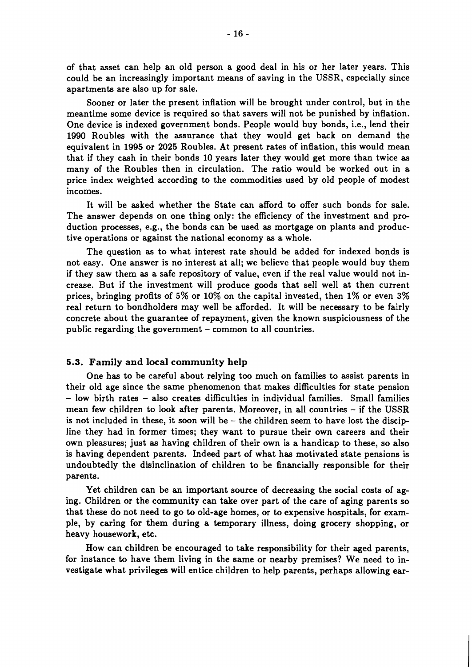of that asset can help an old person a good deal in his or her later years. This could be an increasingly important means of saving in the USSR, especially since apartments are also up for sale.

Sooner or later the present inflation will be brought under control, but in the meantime some device is required so that savers will not be punished by inflation. One device is indexed government bonds. People would buy bonds, i.e., lend their **1990** Roubles with the assurance that they would get back on demand the equivalent in **1995** or **2025** Roubles. At present rates of inflation, this would mean that if they cash in their bonds **10** years later they would get more than twice as many of the Roubles then in circulation. The ratio would be worked out in a price index weighted according to the commodities used by old people of modest incomes.

It will be asked whether the State can afford to offer such bonds for sale. The answer depends on one thing only: the efficiency of the investment and production processes, e.g., the bonds can be used as mortgage on plants and productive operations or against the national economy as a whole.

The question as to what interest rate should be added for indexed bonds is not easy. One answer is no interest at all; we believe that people would buy them if they saw them as a safe repository of value, even if the real value would not increase. But if the investment will produce goods that sell well at then current prices, bringing profits of 5% or **10%** on the capital invested, then **1%** or even **3%**  real return to bondholders may well be afforded. It will be necessary to be fairly concrete about the guarantee of repayment, given the known suspiciousness of the public regarding the government - common to all countries.

#### 5.3. Family and local community help

One has to be careful about relying too much on families to assist parents in their old age since the same phenomenon that makes difficulties for state pension - low birth rates - also creates difficulties in individual families. Small families mean few children to look after parents. Moreover, in all countries - if the USSR is not included in these, it soon will be  $-$  the children seem to have lost the discipline they had in former times; they want to pursue their own careers and their own pleasures; just **as** having children of their own is a handicap to these, so also is having dependent parents. Indeed part of what has motivated state pensions is undoubtedly the disinclination of children to be financially responsible for their parents.

Yet children can be an important source of decreasing the social costs of aging. Children or the community can take over part of the care of aging parents so that these do not need to go to old-age homes, or to expensive hospitals, for example, by caring for them during a temporary illness, doing grocery shopping, or heavy housework, etc.

How can children be encouraged to take responsibility for their aged parents, for instance to have them living in the same or nearby premises? We need to investigate what privileges will entice children to help parents, perhaps allowing ear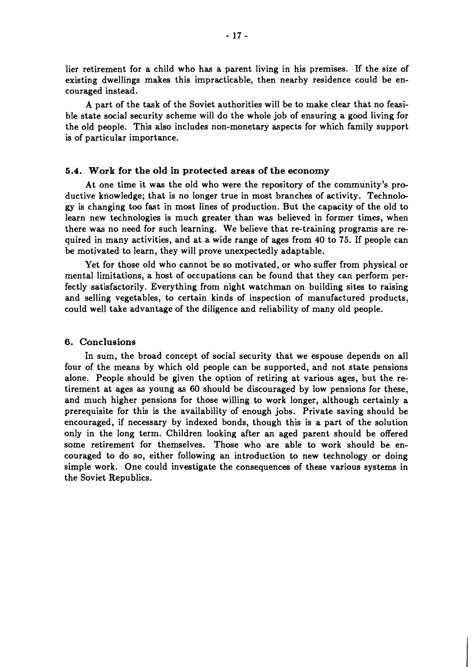lier retirement for a child who has a parent living in his premises. If the size of existing dwellings makes this impracticable, then nearby residence could be encouraged instead.

A part of the task of the Soviet authorities will be to make clear that no feasible state social security scheme will do the whole job of ensuring a good living for the old people. This also includes non-monetary aspects for which family support is of particular importance.

#### **5.4. Work for the old in protected areas of the economy**

At one time it was the old who were the repository of the community's productive knowledge; that is no longer true in most branches of activity. Technology is changing too fast in most lines of production. But the capacity of the old to learn new technologies is much greater than was believed in former times, when there was no need for such learning. We believe that re-training programs are required in many activities, and at a wide range of ages from 40 to 75. If people can be motivated to learn, they will prove unexpectedly adaptable.

Yet for those old who cannot be so motivated, or who suffer from physical or mental limitations, a host of occupations can be found that they can perform perfectly satisfactorily. Everything from night watchman on building sites to raising and selling vegetables, to certain kinds of inspection of manufactured products, could well take advantage of the diligence and reliability of many old people.

#### **6. Conclusions**

In sum, the broad concept of social security that we espouse depends on all four of the means by which old people can be supported, and not state pensions alone. People should be given the option of retiring at various ages, but the retirement at ages as young as 60 should be discouraged by low pensions for these, and much higher pensions for those willing to work longer, although certainly a prerequisite for this is the availability of enough jobs. Private saving should be encouraged, if necessary by indexed bonds, though this is a part of the solution only in the long term. Children looking after an aged parent should be offered some retirement for themselves. Those who are able to work should be encouraged to do so, either following an introduction to new technology or doing simple work. One could investigate the consequences of these various systems in the Soviet Republics.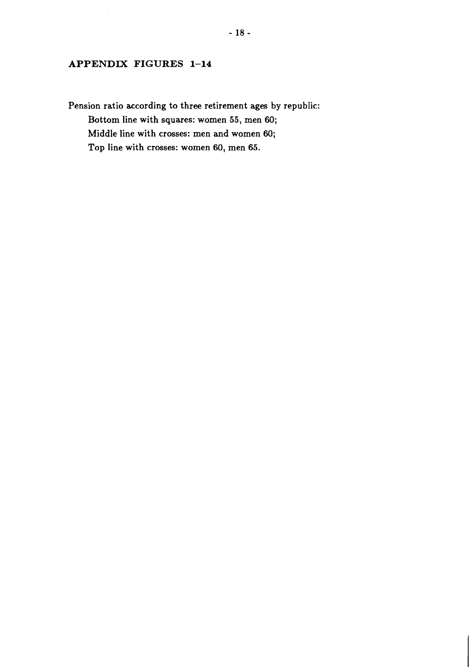# **APPENDIX FIGURES 1-14**

**Pension ratio according to three retirement ages by republic: Bottom line with squares: women 55, men 60; Middle line with crosses: men and women 60; Top line with crosses: women 60, men 65.**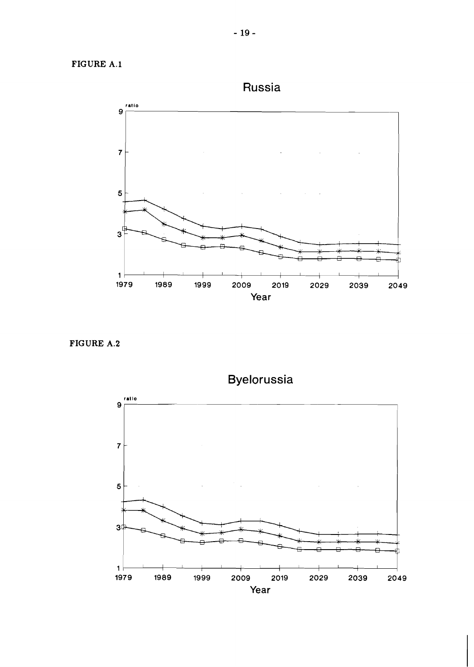# **FIGURE A.l**



**FIGURE A.2** 



Byelorussia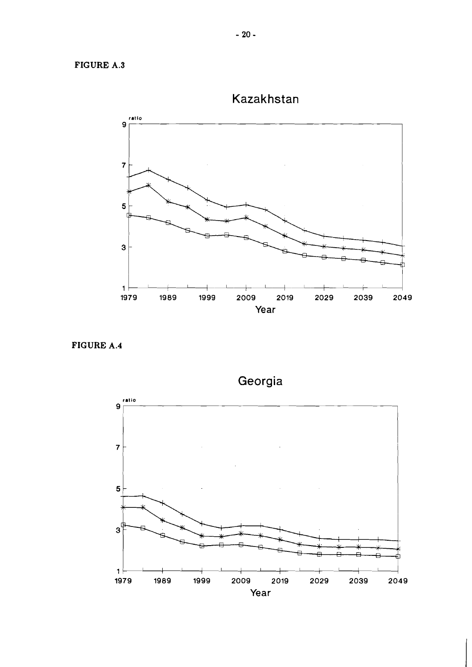ratio  $\mathbf{9}$  $\overline{7}$  $\overline{\mathbf{5}}$  $\mathbf{3}$ **ll 1979 1989 1999 2009 2019 2029 2039 2049**  Year

Kazakhstan

**FIGURE A.4** 



Georgia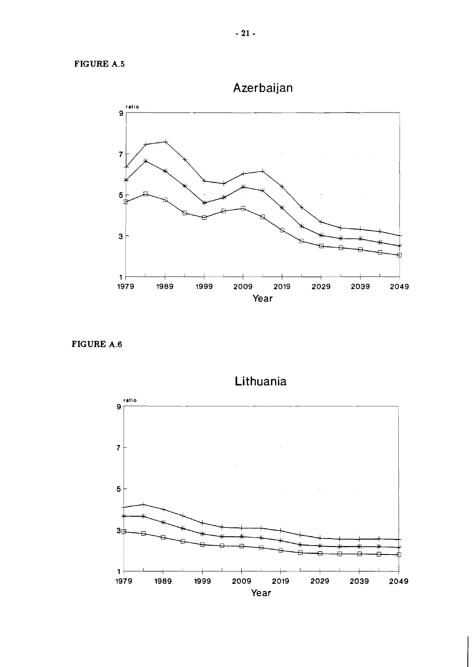

Azerbaijan

**FIGURE A.6** 



Lithuania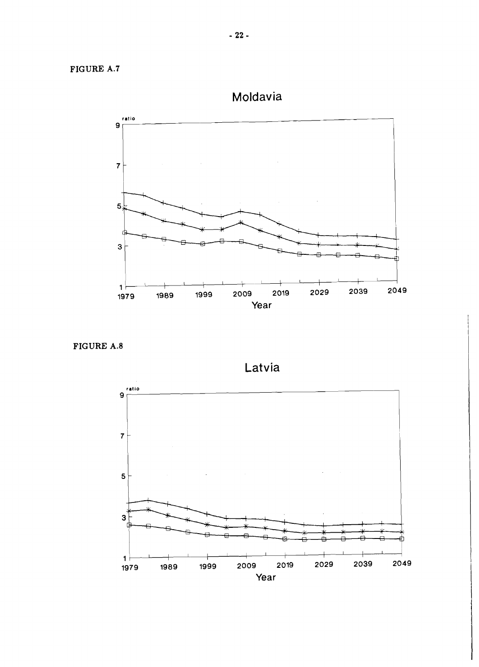

**FIGURE A.8** 

Latvia

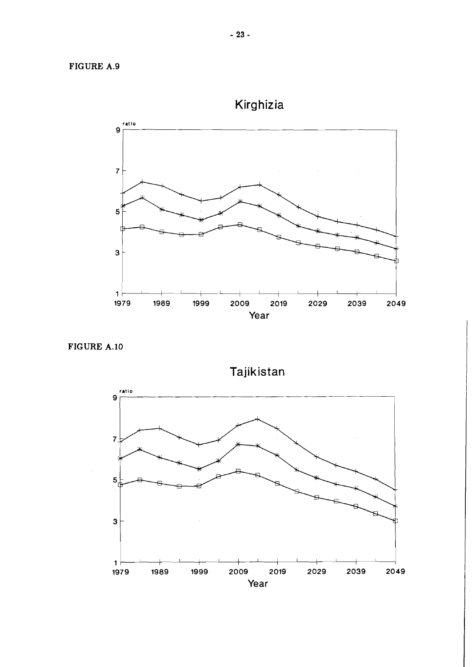# **FIGURE A.9**



**FIGURE A.10** 

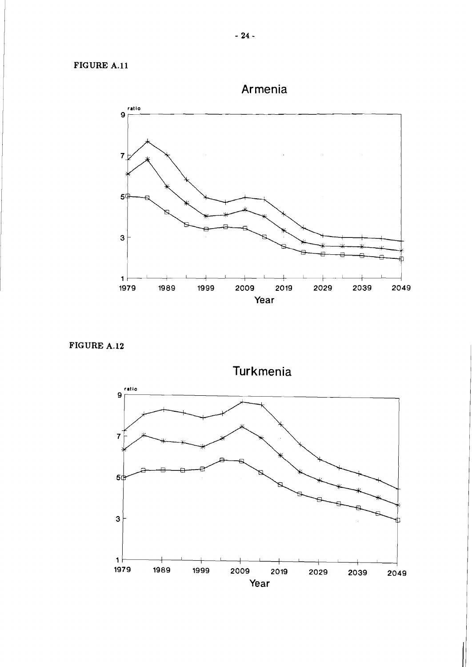**FIGURE A.ll** 

Armenia **ratio 9** <sup>r</sup>  $\overline{7}$  $5<sup>4</sup>$ 3  $\vert$  1 I I I I I I I I I I **1979 1989 1999 2009 2019 2029 2039 2049**  Year

**FIGURE A.12** 

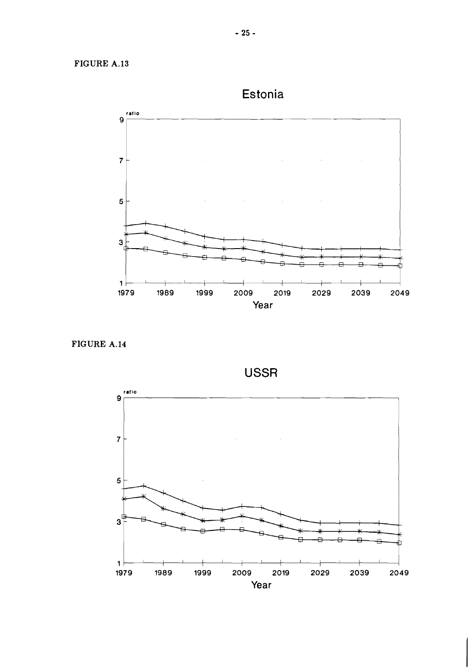Estonia



FIGURE **A.14** 



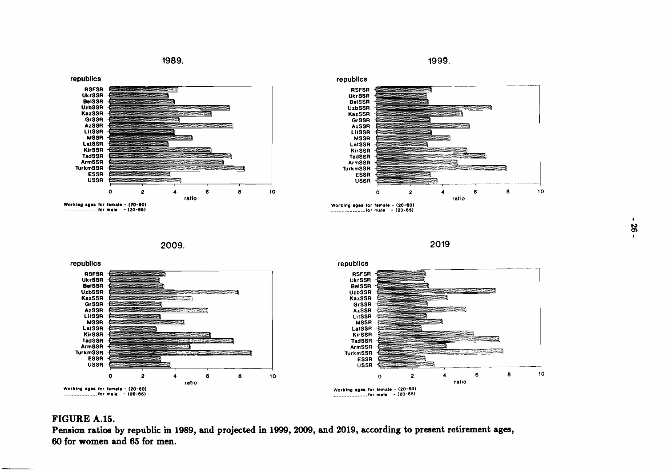1989.

1999.





**2009.** 





# **FIGURE A.15.**

Pension ratios by republic in 1989, and projected in 1999, 2009, and 2019, according to present retirement ages, **60 for women and 65 for men.**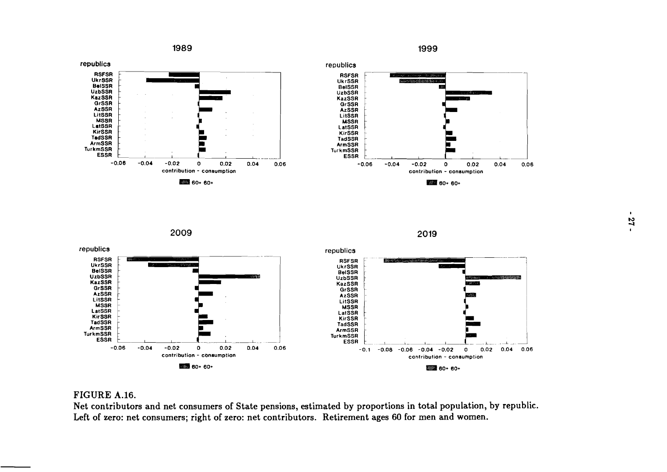

1999



**2009** 





## **FIGURE A.16.**

**Net contributors and net consumers of State pensions, estimated by proportions in total population, by republic.**  Left of zero: net consumers; right of zero: net contributors. Retirement ages 60 for men and women.